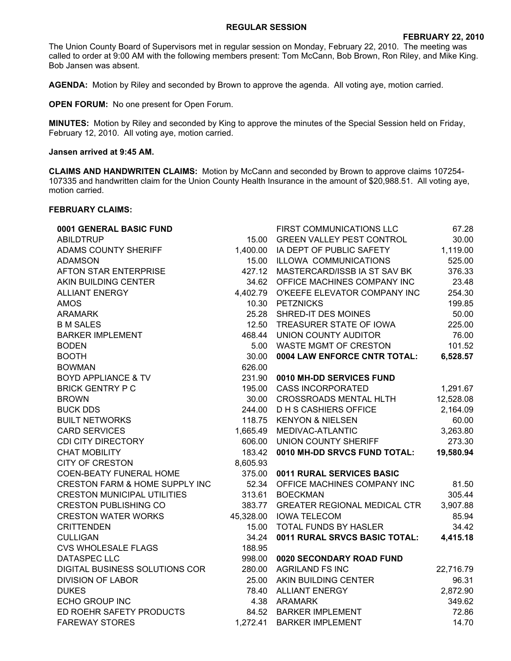## **REGULAR SESSION**

The Union County Board of Supervisors met in regular session on Monday, February 22, 2010. The meeting was called to order at 9:00 AM with the following members present: Tom McCann, Bob Brown, Ron Riley, and Mike King. Bob Jansen was absent.

**AGENDA:** Motion by Riley and seconded by Brown to approve the agenda. All voting aye, motion carried.

**OPEN FORUM:** No one present for Open Forum.

**MINUTES:** Motion by Riley and seconded by King to approve the minutes of the Special Session held on Friday, February 12, 2010. All voting aye, motion carried.

## **Jansen arrived at 9:45 AM.**

**CLAIMS AND HANDWRITEN CLAIMS:** Motion by McCann and seconded by Brown to approve claims 107254- 107335 and handwritten claim for the Union County Health Insurance in the amount of \$20,988.51. All voting aye, motion carried.

## **FEBRUARY CLAIMS:**

| 0001 GENERAL BASIC FUND            |          | FIRST COMMUNICATIONS LLC            | 67.28     |
|------------------------------------|----------|-------------------------------------|-----------|
| <b>ABILDTRUP</b>                   | 15.00    | <b>GREEN VALLEY PEST CONTROL</b>    | 30.00     |
| ADAMS COUNTY SHERIFF               |          | 1,400.00 IA DEPT OF PUBLIC SAFETY   | 1,119.00  |
| <b>ADAMSON</b>                     |          | 15.00 ILLOWA COMMUNICATIONS         | 525.00    |
| <b>AFTON STAR ENTERPRISE</b>       | 427.12   | MASTERCARD/ISSB IA ST SAV BK        | 376.33    |
| AKIN BUILDING CENTER               | 34.62    | OFFICE MACHINES COMPANY INC         | 23.48     |
| <b>ALLIANT ENERGY</b>              | 4,402.79 | O'KEEFE ELEVATOR COMPANY INC        | 254.30    |
| <b>AMOS</b>                        | 10.30    | <b>PETZNICKS</b>                    | 199.85    |
| <b>ARAMARK</b>                     | 25.28    | SHRED-IT DES MOINES                 | 50.00     |
| <b>B M SALES</b>                   | 12.50    | TREASURER STATE OF IOWA             | 225.00    |
| <b>BARKER IMPLEMENT</b>            |          | 468.44 UNION COUNTY AUDITOR         | 76.00     |
| <b>BODEN</b>                       |          | 5.00 WASTE MGMT OF CRESTON          | 101.52    |
| <b>BOOTH</b>                       | 30.00    | 0004 LAW ENFORCE CNTR TOTAL:        | 6,528.57  |
| <b>BOWMAN</b>                      | 626.00   |                                     |           |
| <b>BOYD APPLIANCE &amp; TV</b>     | 231.90   | 0010 MH-DD SERVICES FUND            |           |
| <b>BRICK GENTRY P C</b>            | 195.00   | <b>CASS INCORPORATED</b>            | 1,291.67  |
| <b>BROWN</b>                       | 30.00    | <b>CROSSROADS MENTAL HLTH</b>       | 12,528.08 |
| <b>BUCK DDS</b>                    | 244.00   | <b>DHS CASHIERS OFFICE</b>          | 2,164.09  |
| <b>BUILT NETWORKS</b>              | 118.75   | <b>KENYON &amp; NIELSEN</b>         | 60.00     |
| <b>CARD SERVICES</b>               | 1,665.49 | MEDIVAC-ATLANTIC                    | 3,263.80  |
| <b>CDI CITY DIRECTORY</b>          | 606.00   | UNION COUNTY SHERIFF                | 273.30    |
| <b>CHAT MOBILITY</b>               | 183.42   | 0010 MH-DD SRVCS FUND TOTAL:        | 19,580.94 |
| <b>CITY OF CRESTON</b>             | 8,605.93 |                                     |           |
| <b>COEN-BEATY FUNERAL HOME</b>     | 375.00   | 0011 RURAL SERVICES BASIC           |           |
| CRESTON FARM & HOME SUPPLY INC     | 52.34    | OFFICE MACHINES COMPANY INC         | 81.50     |
| <b>CRESTON MUNICIPAL UTILITIES</b> | 313.61   | <b>BOECKMAN</b>                     | 305.44    |
| <b>CRESTON PUBLISHING CO</b>       | 383.77   | <b>GREATER REGIONAL MEDICAL CTR</b> | 3,907.88  |
| <b>CRESTON WATER WORKS</b>         |          | 45,328.00 IOWA TELECOM              | 85.94     |
| <b>CRITTENDEN</b>                  | 15.00    | TOTAL FUNDS BY HASLER               | 34.42     |
| <b>CULLIGAN</b>                    | 34.24    | 0011 RURAL SRVCS BASIC TOTAL:       | 4,415.18  |
| <b>CVS WHOLESALE FLAGS</b>         | 188.95   |                                     |           |
| <b>DATASPEC LLC</b>                | 998.00   | 0020 SECONDARY ROAD FUND            |           |
| DIGITAL BUSINESS SOLUTIONS COR     |          | 280.00 AGRILAND FS INC              | 22,716.79 |
| <b>DIVISION OF LABOR</b>           |          | 25.00 AKIN BUILDING CENTER          | 96.31     |
| <b>DUKES</b>                       |          | 78.40 ALLIANT ENERGY                | 2,872.90  |
| <b>ECHO GROUP INC</b>              |          | 4.38 ARAMARK                        | 349.62    |
| ED ROEHR SAFETY PRODUCTS           | 84.52    | <b>BARKER IMPLEMENT</b>             | 72.86     |
| <b>FAREWAY STORES</b>              | 1,272.41 | <b>BARKER IMPLEMENT</b>             | 14.70     |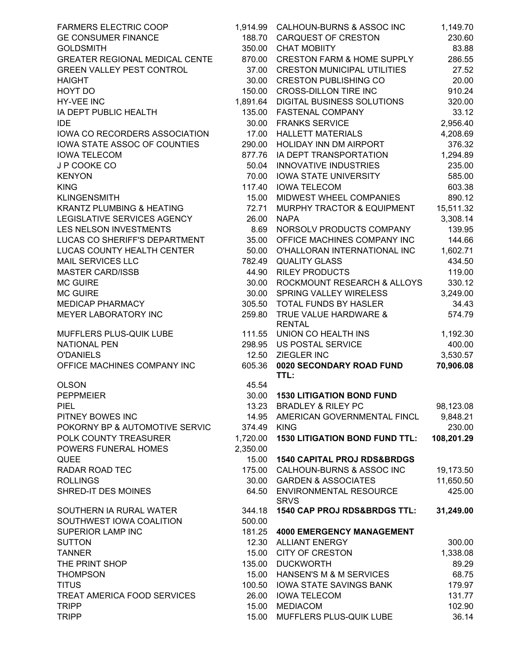| <b>FARMERS ELECTRIC COOP</b>         |             | 1,914.99 CALHOUN-BURNS & ASSOC INC      | 1,149.70   |
|--------------------------------------|-------------|-----------------------------------------|------------|
| <b>GE CONSUMER FINANCE</b>           |             | 188.70 CARQUEST OF CRESTON              | 230.60     |
| <b>GOLDSMITH</b>                     | 350.00      | <b>CHAT MOBIITY</b>                     | 83.88      |
| GREATER REGIONAL MEDICAL CENTE       | 870.00      | <b>CRESTON FARM &amp; HOME SUPPLY</b>   | 286.55     |
| <b>GREEN VALLEY PEST CONTROL</b>     | 37.00       | <b>CRESTON MUNICIPAL UTILITIES</b>      | 27.52      |
| <b>HAIGHT</b>                        | 30.00       | <b>CRESTON PUBLISHING CO</b>            | 20.00      |
| HOYT DO                              | 150.00      | <b>CROSS-DILLON TIRE INC</b>            | 910.24     |
| HY-VEE INC                           | 1,891.64    | DIGITAL BUSINESS SOLUTIONS              | 320.00     |
| IA DEPT PUBLIC HEALTH                |             | 135.00 FASTENAL COMPANY                 | 33.12      |
| <b>IDE</b>                           |             | 30.00 FRANKS SERVICE                    | 2,956.40   |
| IOWA CO RECORDERS ASSOCIATION        |             | 17.00 HALLETT MATERIALS                 | 4,208.69   |
| IOWA STATE ASSOC OF COUNTIES         | 290.00      | HOLIDAY INN DM AIRPORT                  | 376.32     |
| <b>IOWA TELECOM</b>                  | 877.76      | IA DEPT TRANSPORTATION                  | 1,294.89   |
| J P COOKE CO                         | 50.04       | INNOVATIVE INDUSTRIES                   | 235.00     |
| <b>KENYON</b>                        | 70.00       | <b>IOWA STATE UNIVERSITY</b>            | 585.00     |
| <b>KING</b>                          | 117.40      | <b>IOWA TELECOM</b>                     | 603.38     |
| <b>KLINGENSMITH</b>                  | 15.00       | MIDWEST WHEEL COMPANIES                 | 890.12     |
| <b>KRANTZ PLUMBING &amp; HEATING</b> | 72.71       | MURPHY TRACTOR & EQUIPMENT              | 15,511.32  |
| LEGISLATIVE SERVICES AGENCY          | 26.00       | <b>NAPA</b>                             | 3,308.14   |
| LES NELSON INVESTMENTS               | 8.69        | NORSOLV PRODUCTS COMPANY                | 139.95     |
| LUCAS CO SHERIFF'S DEPARTMENT        | 35.00       | OFFICE MACHINES COMPANY INC             | 144.66     |
| LUCAS COUNTY HEALTH CENTER           | 50.00       | O'HALLORAN INTERNATIONAL INC            | 1,602.71   |
| <b>MAIL SERVICES LLC</b>             | 782.49      | <b>QUALITY GLASS</b>                    | 434.50     |
| <b>MASTER CARD/ISSB</b>              | 44.90       | <b>RILEY PRODUCTS</b>                   | 119.00     |
| <b>MC GUIRE</b>                      |             | 30.00 ROCKMOUNT RESEARCH & ALLOYS       | 330.12     |
| <b>MC GUIRE</b>                      | 30.00       | <b>SPRING VALLEY WIRELESS</b>           | 3,249.00   |
| MEDICAP PHARMACY                     |             | 305.50 TOTAL FUNDS BY HASLER            | 34.43      |
| MEYER LABORATORY INC                 | 259.80      | TRUE VALUE HARDWARE &                   | 574.79     |
|                                      |             | <b>RENTAL</b>                           |            |
| MUFFLERS PLUS-QUIK LUBE              | 111.55      | UNION CO HEALTH INS                     | 1,192.30   |
| <b>NATIONAL PEN</b>                  |             | 298.95 US POSTAL SERVICE                | 400.00     |
| <b>O'DANIELS</b>                     | 12.50       | ZIEGLER INC                             | 3,530.57   |
| OFFICE MACHINES COMPANY INC          | 605.36      | 0020 SECONDARY ROAD FUND                | 70,906.08  |
|                                      |             | TTL:                                    |            |
| <b>OLSON</b>                         | 45.54       |                                         |            |
| <b>PEPPMEIER</b>                     |             | 30.00 1530 LITIGATION BOND FUND         |            |
| <b>PIEL</b>                          |             | 13.23 BRADLEY & RILEY PC                | 98,123.08  |
| PITNEY BOWES INC                     |             | 14.95 AMERICAN GOVERNMENTAL FINCL       | 9,848.21   |
| POKORNY BP & AUTOMOTIVE SERVIC       | 374.49 KING |                                         | 230.00     |
| POLK COUNTY TREASURER                |             | 1,720.00 1530 LITIGATION BOND FUND TTL: | 108,201.29 |
| POWERS FUNERAL HOMES                 | 2,350.00    |                                         |            |
| <b>QUEE</b>                          | 15.00       | <b>1540 CAPITAL PROJ RDS&amp;BRDGS</b>  |            |
| <b>RADAR ROAD TEC</b>                | 175.00      | CALHOUN-BURNS & ASSOC INC               | 19,173.50  |
| <b>ROLLINGS</b>                      | 30.00       | <b>GARDEN &amp; ASSOCIATES</b>          | 11,650.50  |
| SHRED-IT DES MOINES                  | 64.50       | ENVIRONMENTAL RESOURCE                  | 425.00     |
|                                      |             | <b>SRVS</b>                             |            |
| SOUTHERN IA RURAL WATER              | 344.18      | 1540 CAP PROJ RDS&BRDGS TTL:            | 31,249.00  |
| SOUTHWEST IOWA COALITION             | 500.00      |                                         |            |
| <b>SUPERIOR LAMP INC</b>             | 181.25      | <b>4000 EMERGENCY MANAGEMENT</b>        |            |
| <b>SUTTON</b>                        | 12.30       | <b>ALLIANT ENERGY</b>                   | 300.00     |
| <b>TANNER</b>                        | 15.00       | <b>CITY OF CRESTON</b>                  | 1,338.08   |
| THE PRINT SHOP                       | 135.00      | <b>DUCKWORTH</b>                        | 89.29      |
| <b>THOMPSON</b>                      | 15.00       | HANSEN'S M & M SERVICES                 | 68.75      |
| <b>TITUS</b>                         | 100.50      | IOWA STATE SAVINGS BANK                 | 179.97     |
| TREAT AMERICA FOOD SERVICES          |             | 26.00 IOWA TELECOM                      | 131.77     |
| <b>TRIPP</b>                         |             | 15.00 MEDIACOM                          | 102.90     |
| <b>TRIPP</b>                         |             | 15.00 MUFFLERS PLUS-QUIK LUBE           | 36.14      |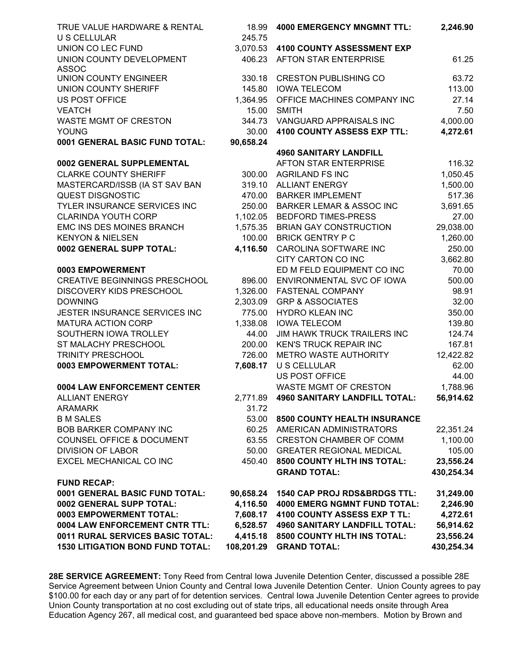| TRUE VALUE HARDWARE & RENTAL<br><b>U S CELLULAR</b> | 18.99<br>245.75 | <b>4000 EMERGENCY MNGMNT TTL:</b>      | 2,246.90   |
|-----------------------------------------------------|-----------------|----------------------------------------|------------|
| UNION CO LEC FUND                                   |                 | 3,070.53 4100 COUNTY ASSESSMENT EXP    |            |
| UNION COUNTY DEVELOPMENT<br><b>ASSOC</b>            |                 | 406.23 AFTON STAR ENTERPRISE           | 61.25      |
| <b>UNION COUNTY ENGINEER</b>                        | 330.18          | <b>CRESTON PUBLISHING CO</b>           | 63.72      |
| <b>UNION COUNTY SHERIFF</b>                         | 145.80          | <b>IOWA TELECOM</b>                    | 113.00     |
| <b>US POST OFFICE</b>                               | 1,364.95        | OFFICE MACHINES COMPANY INC            | 27.14      |
| <b>VEATCH</b>                                       | 15.00           | <b>SMITH</b>                           | 7.50       |
| WASTE MGMT OF CRESTON                               | 344.73          | VANGUARD APPRAISALS INC                | 4,000.00   |
| <b>YOUNG</b>                                        | 30.00           | 4100 COUNTY ASSESS EXP TTL:            | 4,272.61   |
| 0001 GENERAL BASIC FUND TOTAL:                      | 90,658.24       |                                        |            |
|                                                     |                 | <b>4960 SANITARY LANDFILL</b>          |            |
| 0002 GENERAL SUPPLEMENTAL                           |                 | AFTON STAR ENTERPRISE                  | 116.32     |
| <b>CLARKE COUNTY SHERIFF</b>                        |                 | 300.00 AGRILAND FS INC                 | 1,050.45   |
| MASTERCARD/ISSB (IA ST SAV BAN                      |                 | 319.10 ALLIANT ENERGY                  | 1,500.00   |
| <b>QUEST DISGNOSTIC</b>                             | 470.00          | <b>BARKER IMPLEMENT</b>                | 517.36     |
| TYLER INSURANCE SERVICES INC                        | 250.00          | <b>BARKER LEMAR &amp; ASSOC INC</b>    | 3,691.65   |
| <b>CLARINDA YOUTH CORP</b>                          |                 | 1,102.05 BEDFORD TIMES-PRESS           | 27.00      |
| EMC INS DES MOINES BRANCH                           |                 | 1,575.35 BRIAN GAY CONSTRUCTION        | 29,038.00  |
| <b>KENYON &amp; NIELSEN</b>                         |                 | 100.00 BRICK GENTRY P C                | 1,260.00   |
| 0002 GENERAL SUPP TOTAL:                            |                 | 4,116.50 CAROLINA SOFTWARE INC         | 250.00     |
|                                                     |                 | CITY CARTON CO INC                     | 3,662.80   |
| 0003 EMPOWERMENT                                    |                 | ED M FELD EQUIPMENT CO INC             | 70.00      |
| <b>CREATIVE BEGINNINGS PRESCHOOL</b>                | 896.00          | ENVIRONMENTAL SVC OF IOWA              | 500.00     |
| DISCOVERY KIDS PRESCHOOL                            | 1,326.00        | FASTENAL COMPANY                       | 98.91      |
| <b>DOWNING</b>                                      | 2,303.09        | <b>GRP &amp; ASSOCIATES</b>            | 32.00      |
| JESTER INSURANCE SERVICES INC                       | 775.00          | <b>HYDRO KLEAN INC</b>                 | 350.00     |
| <b>MATURA ACTION CORP</b>                           | 1,338.08        | <b>IOWA TELECOM</b>                    | 139.80     |
| SOUTHERN IOWA TROLLEY                               | 44.00           | <b>JIM HAWK TRUCK TRAILERS INC</b>     | 124.74     |
| ST MALACHY PRESCHOOL                                |                 | 200.00 KEN'S TRUCK REPAIR INC          | 167.81     |
| <b>TRINITY PRESCHOOL</b>                            | 726.00          | METRO WASTE AUTHORITY                  | 12,422.82  |
| 0003 EMPOWERMENT TOTAL:                             | 7,608.17        | <b>U S CELLULAR</b>                    | 62.00      |
|                                                     |                 | <b>US POST OFFICE</b>                  | 44.00      |
| 0004 LAW ENFORCEMENT CENTER                         |                 | <b>WASTE MGMT OF CRESTON</b>           | 1,788.96   |
| <b>ALLIANT ENERGY</b>                               | 2,771.89        | <b>4960 SANITARY LANDFILL TOTAL:</b>   | 56,914.62  |
| <b>ARAMARK</b>                                      | 31.72           |                                        |            |
| <b>B M SALES</b>                                    | 53.00           | 8500 COUNTY HEALTH INSURANCE           |            |
| <b>BOB BARKER COMPANY INC</b>                       | 60.25           | AMERICAN ADMINISTRATORS                | 22,351.24  |
| <b>COUNSEL OFFICE &amp; DOCUMENT</b>                | 63.55           | <b>CRESTON CHAMBER OF COMM</b>         | 1,100.00   |
| <b>DIVISION OF LABOR</b>                            | 50.00           | <b>GREATER REGIONAL MEDICAL</b>        | 105.00     |
| EXCEL MECHANICAL CO INC                             | 450.40          | 8500 COUNTY HLTH INS TOTAL:            | 23,556.24  |
| <b>FUND RECAP:</b>                                  |                 | <b>GRAND TOTAL:</b>                    | 430,254.34 |
| 0001 GENERAL BASIC FUND TOTAL:                      |                 | 90,658.24 1540 CAP PROJ RDS&BRDGS TTL: | 31,249.00  |
| 0002 GENERAL SUPP TOTAL:                            |                 | 4,116.50 4000 EMERG NGMNT FUND TOTAL:  | 2,246.90   |
| 0003 EMPOWERMENT TOTAL:                             |                 | 7,608.17 4100 COUNTY ASSESS EXP T TL:  | 4,272.61   |
| 0004 LAW ENFORCEMENT CNTR TTL:                      | 6,528.57        | <b>4960 SANITARY LANDFILL TOTAL:</b>   | 56,914.62  |
| 0011 RURAL SERVICES BASIC TOTAL:                    | 4,415.18        | 8500 COUNTY HLTH INS TOTAL:            | 23,556.24  |
| <b>1530 LITIGATION BOND FUND TOTAL:</b>             | 108,201.29      | <b>GRAND TOTAL:</b>                    | 430,254.34 |

**28E SERVICE AGREEMENT:** Tony Reed from Central Iowa Juvenile Detention Center, discussed a possible 28E Service Agreement between Union County and Central Iowa Juvenile Detention Center. Union County agrees to pay \$100.00 for each day or any part of for detention services. Central Iowa Juvenile Detention Center agrees to provide Union County transportation at no cost excluding out of state trips, all educational needs onsite through Area Education Agency 267, all medical cost, and guaranteed bed space above non-members. Motion by Brown and